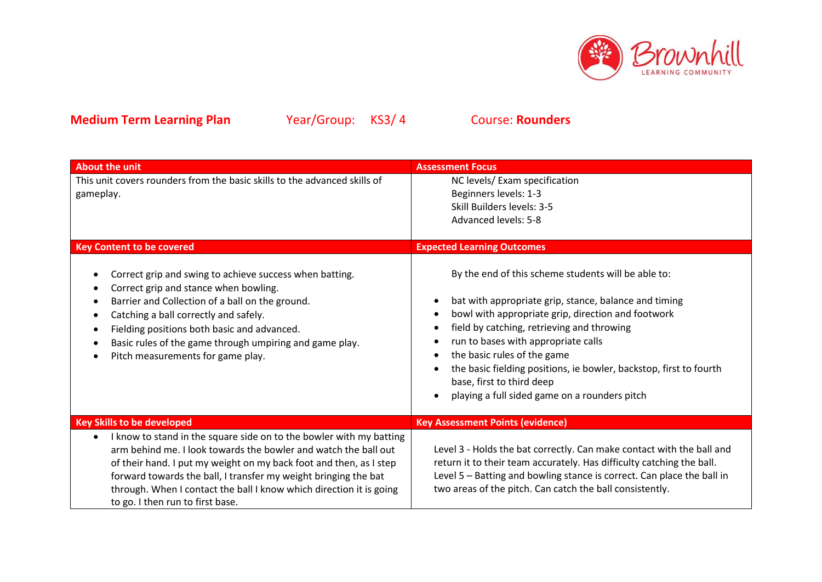

| <b>About the unit</b>                                                                                                                                                                                                                                                                                                                                                                                   | <b>Assessment Focus</b>                                                                                                                                                                                                                                                                                                                                                                                                                    |  |
|---------------------------------------------------------------------------------------------------------------------------------------------------------------------------------------------------------------------------------------------------------------------------------------------------------------------------------------------------------------------------------------------------------|--------------------------------------------------------------------------------------------------------------------------------------------------------------------------------------------------------------------------------------------------------------------------------------------------------------------------------------------------------------------------------------------------------------------------------------------|--|
| This unit covers rounders from the basic skills to the advanced skills of<br>gameplay.                                                                                                                                                                                                                                                                                                                  | NC levels/ Exam specification<br>Beginners levels: 1-3<br>Skill Builders levels: 3-5<br><b>Advanced levels: 5-8</b>                                                                                                                                                                                                                                                                                                                        |  |
| <b>Key Content to be covered</b>                                                                                                                                                                                                                                                                                                                                                                        | <b>Expected Learning Outcomes</b>                                                                                                                                                                                                                                                                                                                                                                                                          |  |
| Correct grip and swing to achieve success when batting.<br>Correct grip and stance when bowling.<br>Barrier and Collection of a ball on the ground.<br>٠<br>Catching a ball correctly and safely.<br>٠<br>Fielding positions both basic and advanced.<br>Basic rules of the game through umpiring and game play.<br>Pitch measurements for game play.                                                   | By the end of this scheme students will be able to:<br>bat with appropriate grip, stance, balance and timing<br>bowl with appropriate grip, direction and footwork<br>field by catching, retrieving and throwing<br>run to bases with appropriate calls<br>the basic rules of the game<br>the basic fielding positions, ie bowler, backstop, first to fourth<br>base, first to third deep<br>playing a full sided game on a rounders pitch |  |
| <b>Key Skills to be developed</b>                                                                                                                                                                                                                                                                                                                                                                       | <b>Key Assessment Points (evidence)</b>                                                                                                                                                                                                                                                                                                                                                                                                    |  |
| I know to stand in the square side on to the bowler with my batting<br>$\bullet$<br>arm behind me. I look towards the bowler and watch the ball out<br>of their hand. I put my weight on my back foot and then, as I step<br>forward towards the ball, I transfer my weight bringing the bat<br>through. When I contact the ball I know which direction it is going<br>to go. I then run to first base. | Level 3 - Holds the bat correctly. Can make contact with the ball and<br>return it to their team accurately. Has difficulty catching the ball.<br>Level 5 - Batting and bowling stance is correct. Can place the ball in<br>two areas of the pitch. Can catch the ball consistently.                                                                                                                                                       |  |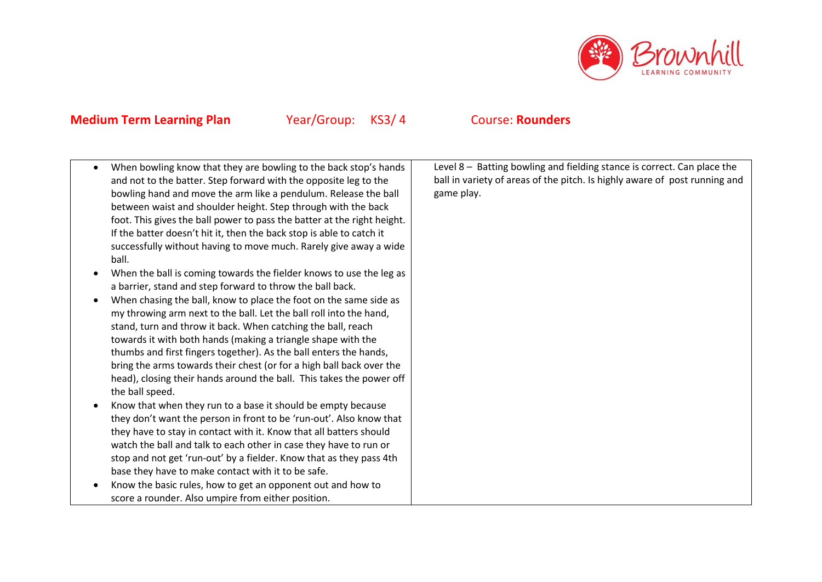

 When bowling know that they are bowling to the back stop's hands and not to the batter. Step forward with the opposite leg to the bowling hand and move the arm like a pendulum. Release the ball between waist and shoulder height. Step through with the back foot. This gives the ball power to pass the batter at the right height. If the batter doesn't hit it, then the back stop is able to catch it successfully without having to move much. Rarely give away a wide ball. When the ball is coming towards the fielder knows to use the leg as a barrier, stand and step forward to throw the ball back. When chasing the ball, know to place the foot on the same side as my throwing arm next to the ball. Let the ball roll into the hand, stand, turn and throw it back. When catching the ball, reach towards it with both hands (making a triangle shape with the thumbs and first fingers together). As the ball enters the hands, bring the arms towards their chest (or for a high ball back over the head), closing their hands around the ball. This takes the power off the ball speed. Know that when they run to a base it should be empty because they don't want the person in front to be 'run-out'. Also know that they have to stay in contact with it. Know that all batters should watch the ball and talk to each other in case they have to run or stop and not get 'run-out' by a fielder. Know that as they pass 4th base they have to make contact with it to be safe. • Know the basic rules, how to get an opponent out and how to score a rounder. Also umpire from either position. Level 8 – Batting bowling and fielding stance is correct. Can place the ball in variety of areas of the pitch. Is highly aware of post running and game play.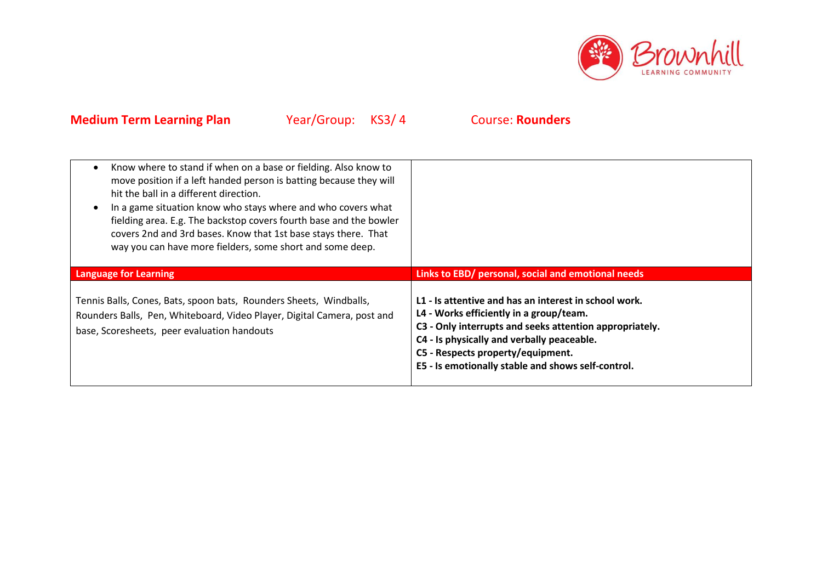

| Know where to stand if when on a base or fielding. Also know to<br>move position if a left handed person is batting because they will<br>hit the ball in a different direction.<br>In a game situation know who stays where and who covers what<br>fielding area. E.g. The backstop covers fourth base and the bowler<br>covers 2nd and 3rd bases. Know that 1st base stays there. That<br>way you can have more fielders, some short and some deep. |                                                                                                                                                                                                                                                                                                      |
|------------------------------------------------------------------------------------------------------------------------------------------------------------------------------------------------------------------------------------------------------------------------------------------------------------------------------------------------------------------------------------------------------------------------------------------------------|------------------------------------------------------------------------------------------------------------------------------------------------------------------------------------------------------------------------------------------------------------------------------------------------------|
| <b>Language for Learning</b>                                                                                                                                                                                                                                                                                                                                                                                                                         | Links to EBD/ personal, social and emotional needs                                                                                                                                                                                                                                                   |
| Tennis Balls, Cones, Bats, spoon bats, Rounders Sheets, Windballs,<br>Rounders Balls, Pen, Whiteboard, Video Player, Digital Camera, post and<br>base, Scoresheets, peer evaluation handouts                                                                                                                                                                                                                                                         | L1 - Is attentive and has an interest in school work.<br>L4 - Works efficiently in a group/team.<br>C3 - Only interrupts and seeks attention appropriately.<br>C4 - Is physically and verbally peaceable.<br>C5 - Respects property/equipment.<br>E5 - Is emotionally stable and shows self-control. |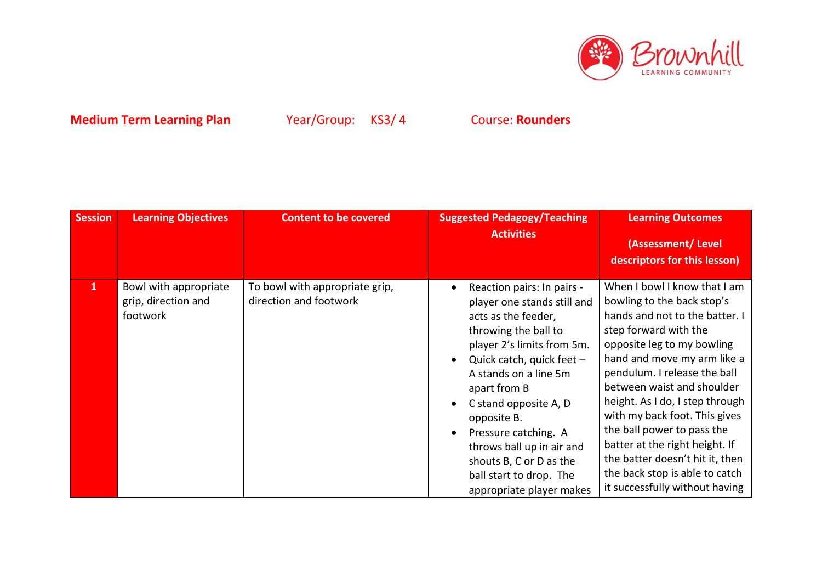

| <b>Session</b> | <b>Learning Objectives</b>                               | <b>Content to be covered</b>                             | <b>Suggested Pedagogy/Teaching</b><br><b>Activities</b>                                                                                                                                                                                                                                                                                                                                     | <b>Learning Outcomes</b><br>(Assessment/Level<br>descriptors for this lesson)                                                                                                                                                                                                                                                                                                                                                                                                               |
|----------------|----------------------------------------------------------|----------------------------------------------------------|---------------------------------------------------------------------------------------------------------------------------------------------------------------------------------------------------------------------------------------------------------------------------------------------------------------------------------------------------------------------------------------------|---------------------------------------------------------------------------------------------------------------------------------------------------------------------------------------------------------------------------------------------------------------------------------------------------------------------------------------------------------------------------------------------------------------------------------------------------------------------------------------------|
| $\mathbf{1}$   | Bowl with appropriate<br>grip, direction and<br>footwork | To bowl with appropriate grip,<br>direction and footwork | Reaction pairs: In pairs -<br>player one stands still and<br>acts as the feeder,<br>throwing the ball to<br>player 2's limits from 5m.<br>Quick catch, quick feet -<br>A stands on a line 5m<br>apart from B<br>C stand opposite A, D<br>opposite B.<br>Pressure catching. A<br>throws ball up in air and<br>shouts B, C or D as the<br>ball start to drop. The<br>appropriate player makes | When I bowl I know that I am<br>bowling to the back stop's<br>hands and not to the batter. I<br>step forward with the<br>opposite leg to my bowling<br>hand and move my arm like a<br>pendulum. I release the ball<br>between waist and shoulder<br>height. As I do, I step through<br>with my back foot. This gives<br>the ball power to pass the<br>batter at the right height. If<br>the batter doesn't hit it, then<br>the back stop is able to catch<br>it successfully without having |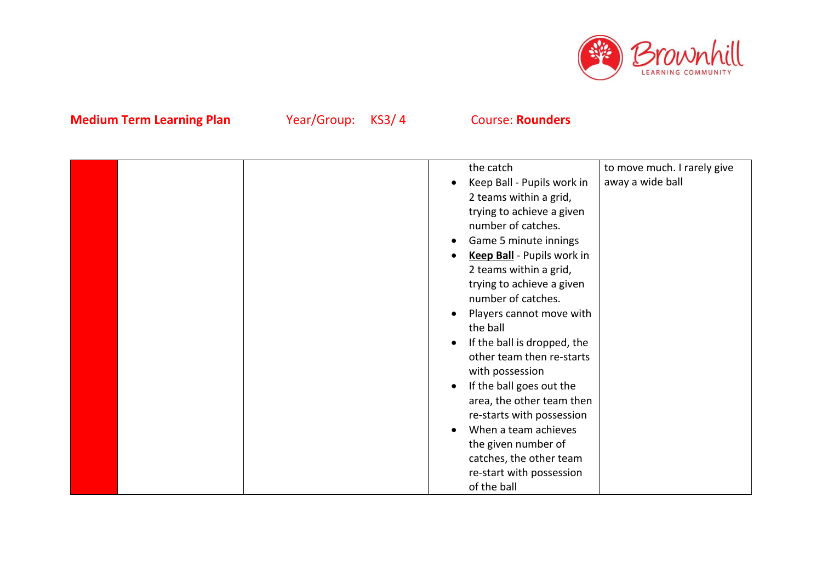

|  |  | the catch                   | to move much. I rarely give |
|--|--|-----------------------------|-----------------------------|
|  |  | Keep Ball - Pupils work in  | away a wide ball            |
|  |  | 2 teams within a grid,      |                             |
|  |  | trying to achieve a given   |                             |
|  |  | number of catches.          |                             |
|  |  | Game 5 minute innings       |                             |
|  |  | Keep Ball - Pupils work in  |                             |
|  |  | 2 teams within a grid,      |                             |
|  |  | trying to achieve a given   |                             |
|  |  | number of catches.          |                             |
|  |  | Players cannot move with    |                             |
|  |  | the ball                    |                             |
|  |  | If the ball is dropped, the |                             |
|  |  | other team then re-starts   |                             |
|  |  | with possession             |                             |
|  |  | If the ball goes out the    |                             |
|  |  | area, the other team then   |                             |
|  |  | re-starts with possession   |                             |
|  |  | When a team achieves        |                             |
|  |  | the given number of         |                             |
|  |  | catches, the other team     |                             |
|  |  | re-start with possession    |                             |
|  |  | of the ball                 |                             |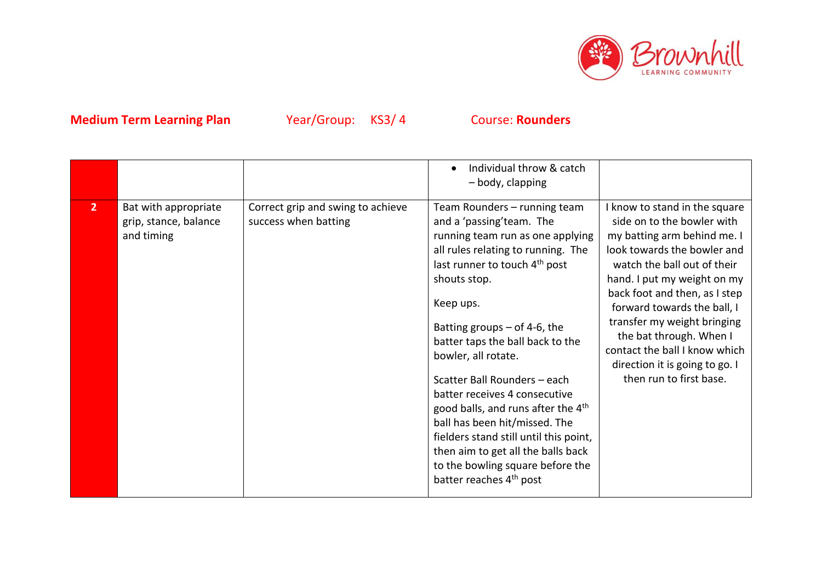

|                |                                                             |                                                           | Individual throw & catch<br>- body, clapping                                                                                                                                                                                                                                                                                                                                                                                                                                                                                                                                                                   |                                                                                                                                                                                                                                                                                                                                                                                                                 |
|----------------|-------------------------------------------------------------|-----------------------------------------------------------|----------------------------------------------------------------------------------------------------------------------------------------------------------------------------------------------------------------------------------------------------------------------------------------------------------------------------------------------------------------------------------------------------------------------------------------------------------------------------------------------------------------------------------------------------------------------------------------------------------------|-----------------------------------------------------------------------------------------------------------------------------------------------------------------------------------------------------------------------------------------------------------------------------------------------------------------------------------------------------------------------------------------------------------------|
| $\overline{2}$ | Bat with appropriate<br>grip, stance, balance<br>and timing | Correct grip and swing to achieve<br>success when batting | Team Rounders - running team<br>and a 'passing'team. The<br>running team run as one applying<br>all rules relating to running. The<br>last runner to touch 4 <sup>th</sup> post<br>shouts stop.<br>Keep ups.<br>Batting groups $-$ of 4-6, the<br>batter taps the ball back to the<br>bowler, all rotate.<br>Scatter Ball Rounders - each<br>batter receives 4 consecutive<br>good balls, and runs after the $4th$<br>ball has been hit/missed. The<br>fielders stand still until this point,<br>then aim to get all the balls back<br>to the bowling square before the<br>batter reaches 4 <sup>th</sup> post | I know to stand in the square<br>side on to the bowler with<br>my batting arm behind me. I<br>look towards the bowler and<br>watch the ball out of their<br>hand. I put my weight on my<br>back foot and then, as I step<br>forward towards the ball, I<br>transfer my weight bringing<br>the bat through. When I<br>contact the ball I know which<br>direction it is going to go. I<br>then run to first base. |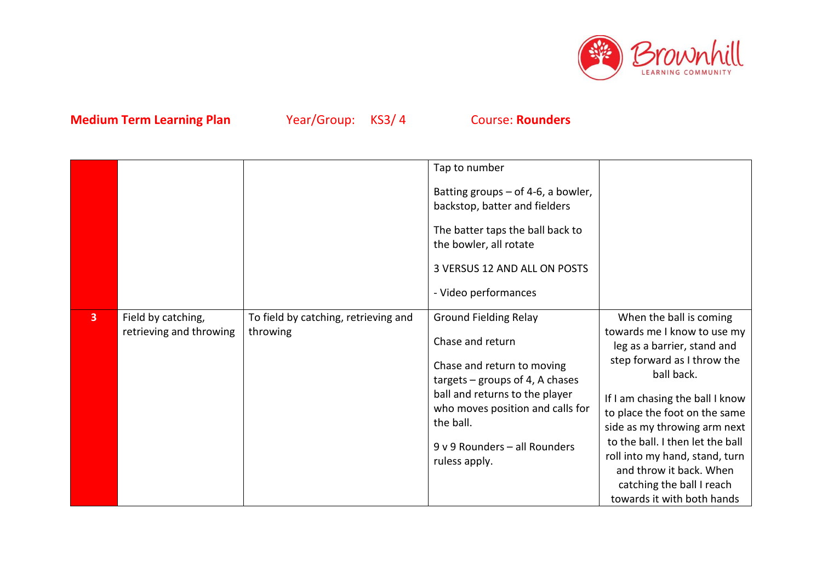

|   |                                               |                                                  | Tap to number<br>Batting groups $-$ of 4-6, a bowler,<br>backstop, batter and fielders<br>The batter taps the ball back to<br>the bowler, all rotate<br>3 VERSUS 12 AND ALL ON POSTS<br>- Video performances                                             |                                                                                                                                                                                                                                                                                                                                                                                                    |
|---|-----------------------------------------------|--------------------------------------------------|----------------------------------------------------------------------------------------------------------------------------------------------------------------------------------------------------------------------------------------------------------|----------------------------------------------------------------------------------------------------------------------------------------------------------------------------------------------------------------------------------------------------------------------------------------------------------------------------------------------------------------------------------------------------|
| 3 | Field by catching,<br>retrieving and throwing | To field by catching, retrieving and<br>throwing | <b>Ground Fielding Relay</b><br>Chase and return<br>Chase and return to moving<br>targets $-$ groups of 4, A chases<br>ball and returns to the player<br>who moves position and calls for<br>the ball.<br>9 v 9 Rounders - all Rounders<br>ruless apply. | When the ball is coming<br>towards me I know to use my<br>leg as a barrier, stand and<br>step forward as I throw the<br>ball back.<br>If I am chasing the ball I know<br>to place the foot on the same<br>side as my throwing arm next<br>to the ball. I then let the ball<br>roll into my hand, stand, turn<br>and throw it back. When<br>catching the ball I reach<br>towards it with both hands |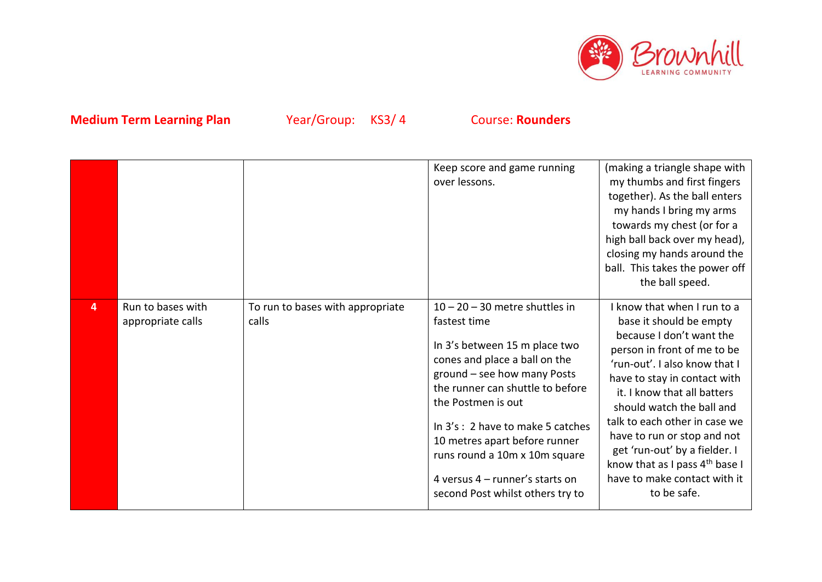

|   |                                        |                                           | Keep score and game running<br>over lessons.                                                                                                                                                                                                                                                                                                                                               | (making a triangle shape with<br>my thumbs and first fingers<br>together). As the ball enters<br>my hands I bring my arms<br>towards my chest (or for a<br>high ball back over my head),<br>closing my hands around the<br>ball. This takes the power off<br>the ball speed.                                                                                                                                                                 |
|---|----------------------------------------|-------------------------------------------|--------------------------------------------------------------------------------------------------------------------------------------------------------------------------------------------------------------------------------------------------------------------------------------------------------------------------------------------------------------------------------------------|----------------------------------------------------------------------------------------------------------------------------------------------------------------------------------------------------------------------------------------------------------------------------------------------------------------------------------------------------------------------------------------------------------------------------------------------|
| 4 | Run to bases with<br>appropriate calls | To run to bases with appropriate<br>calls | $10 - 20 - 30$ metre shuttles in<br>fastest time<br>In 3's between 15 m place two<br>cones and place a ball on the<br>ground - see how many Posts<br>the runner can shuttle to before<br>the Postmen is out<br>In 3's: 2 have to make 5 catches<br>10 metres apart before runner<br>runs round a 10m x 10m square<br>4 versus $4$ – runner's starts on<br>second Post whilst others try to | I know that when I run to a<br>base it should be empty<br>because I don't want the<br>person in front of me to be<br>'run-out'. I also know that I<br>have to stay in contact with<br>it. I know that all batters<br>should watch the ball and<br>talk to each other in case we<br>have to run or stop and not<br>get 'run-out' by a fielder. I<br>know that as I pass 4 <sup>th</sup> base I<br>have to make contact with it<br>to be safe. |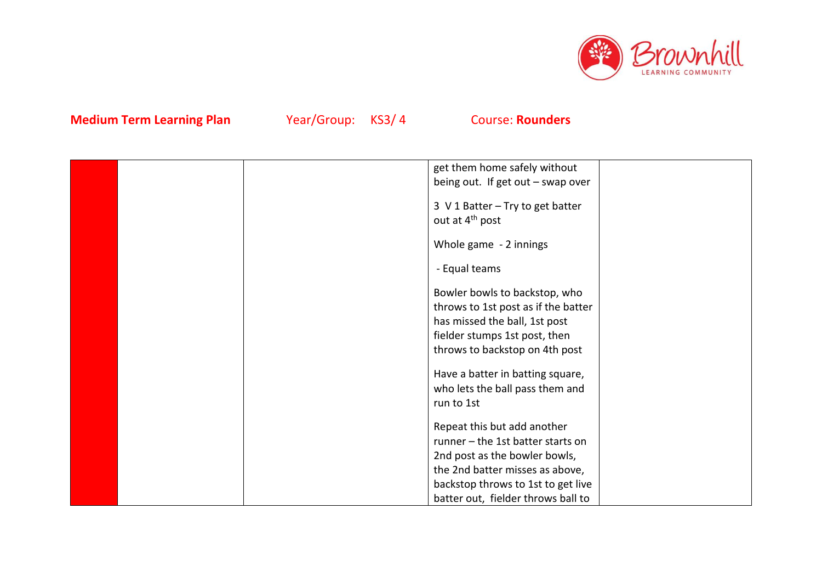

|  | get them home safely without        |  |
|--|-------------------------------------|--|
|  | being out. If get out - swap over   |  |
|  |                                     |  |
|  | 3 V 1 Batter - Try to get batter    |  |
|  | out at 4 <sup>th</sup> post         |  |
|  | Whole game - 2 innings              |  |
|  |                                     |  |
|  | - Equal teams                       |  |
|  |                                     |  |
|  | Bowler bowls to backstop, who       |  |
|  | throws to 1st post as if the batter |  |
|  | has missed the ball, 1st post       |  |
|  | fielder stumps 1st post, then       |  |
|  | throws to backstop on 4th post      |  |
|  |                                     |  |
|  | Have a batter in batting square,    |  |
|  | who lets the ball pass them and     |  |
|  | run to 1st                          |  |
|  | Repeat this but add another         |  |
|  | runner - the 1st batter starts on   |  |
|  | 2nd post as the bowler bowls,       |  |
|  | the 2nd batter misses as above,     |  |
|  | backstop throws to 1st to get live  |  |
|  | batter out, fielder throws ball to  |  |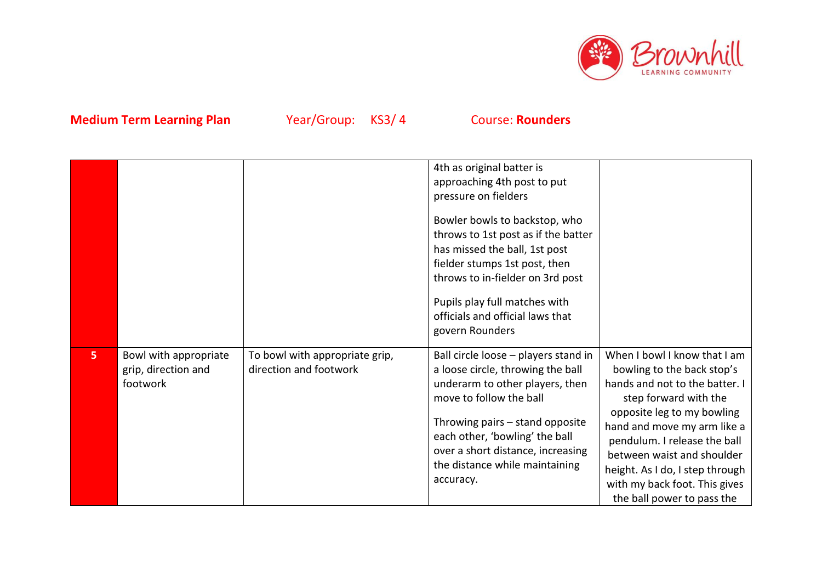

|   |                                                          |                                                          | 4th as original batter is<br>approaching 4th post to put<br>pressure on fielders<br>Bowler bowls to backstop, who<br>throws to 1st post as if the batter<br>has missed the ball, 1st post<br>fielder stumps 1st post, then<br>throws to in-fielder on 3rd post<br>Pupils play full matches with<br>officials and official laws that<br>govern Rounders |                                                                                                                                                                                                                                                                                                                                                    |
|---|----------------------------------------------------------|----------------------------------------------------------|--------------------------------------------------------------------------------------------------------------------------------------------------------------------------------------------------------------------------------------------------------------------------------------------------------------------------------------------------------|----------------------------------------------------------------------------------------------------------------------------------------------------------------------------------------------------------------------------------------------------------------------------------------------------------------------------------------------------|
| 5 | Bowl with appropriate<br>grip, direction and<br>footwork | To bowl with appropriate grip,<br>direction and footwork | Ball circle loose - players stand in<br>a loose circle, throwing the ball<br>underarm to other players, then<br>move to follow the ball<br>Throwing pairs - stand opposite<br>each other, 'bowling' the ball<br>over a short distance, increasing<br>the distance while maintaining<br>accuracy.                                                       | When I bowl I know that I am<br>bowling to the back stop's<br>hands and not to the batter. I<br>step forward with the<br>opposite leg to my bowling<br>hand and move my arm like a<br>pendulum. I release the ball<br>between waist and shoulder<br>height. As I do, I step through<br>with my back foot. This gives<br>the ball power to pass the |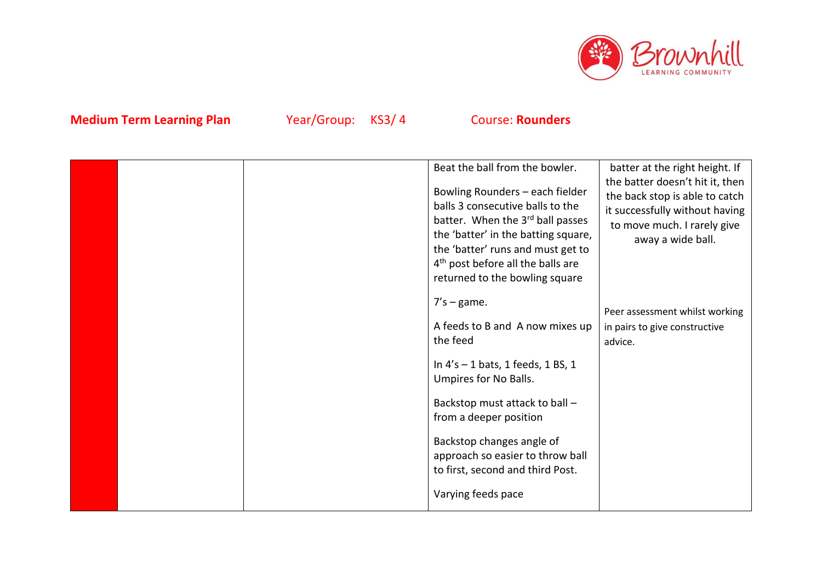

|  | Beat the ball from the bowler.<br>Bowling Rounders - each fielder<br>balls 3 consecutive balls to the<br>batter. When the 3rd ball passes<br>the 'batter' in the batting square,<br>the 'batter' runs and must get to<br>4 <sup>th</sup> post before all the balls are<br>returned to the bowling square | batter at the right height. If<br>the batter doesn't hit it, then<br>the back stop is able to catch<br>it successfully without having<br>to move much. I rarely give<br>away a wide ball. |
|--|----------------------------------------------------------------------------------------------------------------------------------------------------------------------------------------------------------------------------------------------------------------------------------------------------------|-------------------------------------------------------------------------------------------------------------------------------------------------------------------------------------------|
|  | $7's - game.$<br>A feeds to B and A now mixes up<br>the feed                                                                                                                                                                                                                                             | Peer assessment whilst working<br>in pairs to give constructive<br>advice.                                                                                                                |
|  | In $4's - 1$ bats, 1 feeds, 1 BS, 1<br>Umpires for No Balls.                                                                                                                                                                                                                                             |                                                                                                                                                                                           |
|  | Backstop must attack to ball -<br>from a deeper position                                                                                                                                                                                                                                                 |                                                                                                                                                                                           |
|  | Backstop changes angle of<br>approach so easier to throw ball<br>to first, second and third Post.                                                                                                                                                                                                        |                                                                                                                                                                                           |
|  | Varying feeds pace                                                                                                                                                                                                                                                                                       |                                                                                                                                                                                           |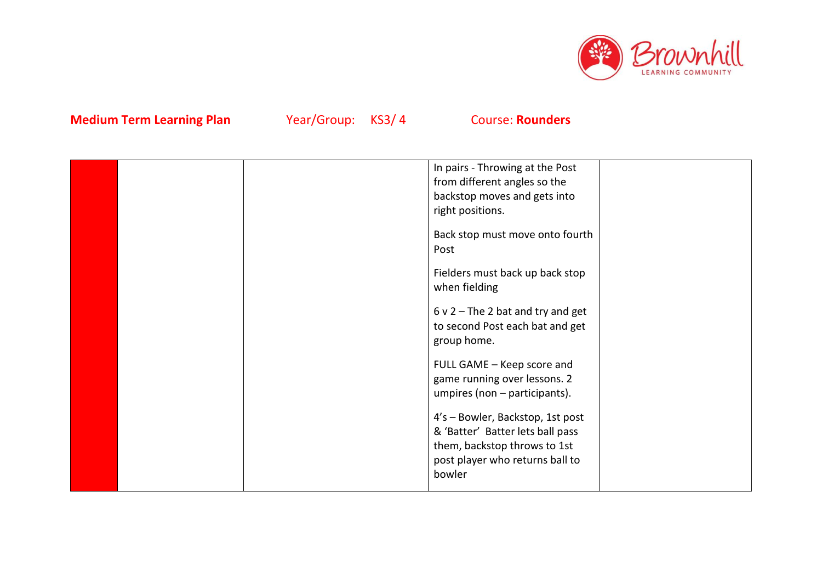

|  | In pairs - Throwing at the Post     |  |
|--|-------------------------------------|--|
|  | from different angles so the        |  |
|  | backstop moves and gets into        |  |
|  | right positions.                    |  |
|  |                                     |  |
|  | Back stop must move onto fourth     |  |
|  | Post                                |  |
|  |                                     |  |
|  | Fielders must back up back stop     |  |
|  | when fielding                       |  |
|  | $6$ v 2 – The 2 bat and try and get |  |
|  | to second Post each bat and get     |  |
|  |                                     |  |
|  | group home.                         |  |
|  | FULL GAME - Keep score and          |  |
|  | game running over lessons. 2        |  |
|  | umpires (non - participants).       |  |
|  |                                     |  |
|  | 4's - Bowler, Backstop, 1st post    |  |
|  | & 'Batter' Batter lets ball pass    |  |
|  | them, backstop throws to 1st        |  |
|  | post player who returns ball to     |  |
|  | bowler                              |  |
|  |                                     |  |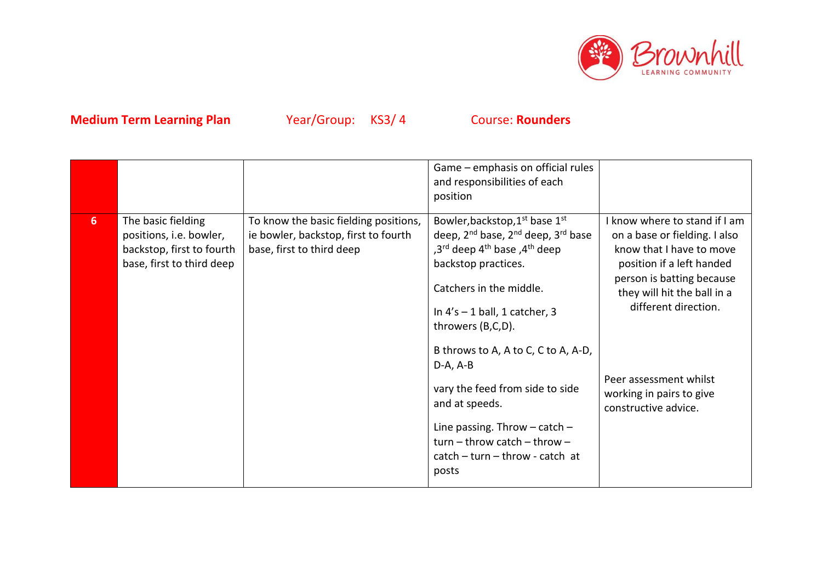

|   |                                                                                                         |                                                                                                            | Game – emphasis on official rules<br>and responsibilities of each<br>position                                                                                                                                                                                                                                                                                                                                                                                                                                            |                                                                                                                                                                                                                                                                                           |
|---|---------------------------------------------------------------------------------------------------------|------------------------------------------------------------------------------------------------------------|--------------------------------------------------------------------------------------------------------------------------------------------------------------------------------------------------------------------------------------------------------------------------------------------------------------------------------------------------------------------------------------------------------------------------------------------------------------------------------------------------------------------------|-------------------------------------------------------------------------------------------------------------------------------------------------------------------------------------------------------------------------------------------------------------------------------------------|
| 6 | The basic fielding<br>positions, i.e. bowler,<br>backstop, first to fourth<br>base, first to third deep | To know the basic fielding positions,<br>ie bowler, backstop, first to fourth<br>base, first to third deep | Bowler, backstop, 1 <sup>st</sup> base 1st<br>deep, 2 <sup>nd</sup> base, 2 <sup>nd</sup> deep, 3 <sup>rd</sup> base<br>,3 <sup>rd</sup> deep 4 <sup>th</sup> base ,4 <sup>th</sup> deep<br>backstop practices.<br>Catchers in the middle.<br>In $4's - 1$ ball, 1 catcher, 3<br>throwers (B,C,D).<br>B throws to A, A to C, C to A, A-D,<br>$D-A, A-B$<br>vary the feed from side to side<br>and at speeds.<br>Line passing. Throw $-$ catch $-$<br>$turn - throw catch - throw -$<br>$catch - turn - throw - catch at$ | I know where to stand if I am<br>on a base or fielding. I also<br>know that I have to move<br>position if a left handed<br>person is batting because<br>they will hit the ball in a<br>different direction.<br>Peer assessment whilst<br>working in pairs to give<br>constructive advice. |
|   |                                                                                                         |                                                                                                            | posts                                                                                                                                                                                                                                                                                                                                                                                                                                                                                                                    |                                                                                                                                                                                                                                                                                           |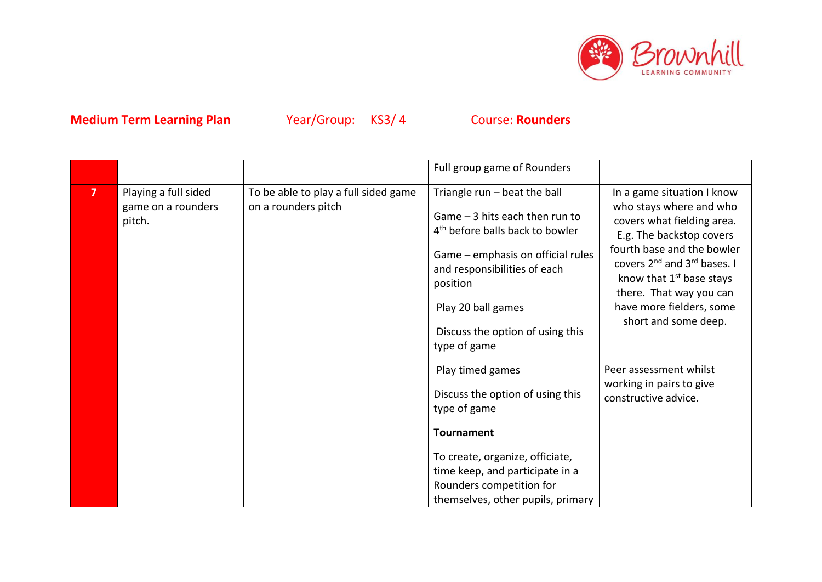

|                |                              |                                      | Full group game of Rounders                                                    |                                                                                                                                                                                                                                           |
|----------------|------------------------------|--------------------------------------|--------------------------------------------------------------------------------|-------------------------------------------------------------------------------------------------------------------------------------------------------------------------------------------------------------------------------------------|
| $\overline{ }$ | Playing a full sided         | To be able to play a full sided game | Triangle run - beat the ball                                                   | In a game situation I know                                                                                                                                                                                                                |
|                | game on a rounders<br>pitch. | on a rounders pitch                  | Game $-3$ hits each then run to<br>4 <sup>th</sup> before balls back to bowler | who stays where and who<br>covers what fielding area.<br>E.g. The backstop covers<br>fourth base and the bowler<br>covers 2 <sup>nd</sup> and 3 <sup>rd</sup> bases. I<br>know that 1 <sup>st</sup> base stays<br>there. That way you can |
|                |                              |                                      | Game - emphasis on official rules<br>and responsibilities of each<br>position  |                                                                                                                                                                                                                                           |
|                |                              |                                      | Play 20 ball games                                                             | have more fielders, some<br>short and some deep.                                                                                                                                                                                          |
|                |                              |                                      | Discuss the option of using this                                               |                                                                                                                                                                                                                                           |
|                |                              |                                      | type of game                                                                   |                                                                                                                                                                                                                                           |
|                |                              |                                      | Play timed games                                                               | Peer assessment whilst<br>working in pairs to give                                                                                                                                                                                        |
|                |                              |                                      | Discuss the option of using this                                               | constructive advice.                                                                                                                                                                                                                      |
|                |                              |                                      | type of game                                                                   |                                                                                                                                                                                                                                           |
|                |                              |                                      | <b>Tournament</b>                                                              |                                                                                                                                                                                                                                           |
|                |                              |                                      | To create, organize, officiate,                                                |                                                                                                                                                                                                                                           |
|                |                              |                                      | time keep, and participate in a                                                |                                                                                                                                                                                                                                           |
|                |                              |                                      | Rounders competition for                                                       |                                                                                                                                                                                                                                           |
|                |                              |                                      | themselves, other pupils, primary                                              |                                                                                                                                                                                                                                           |